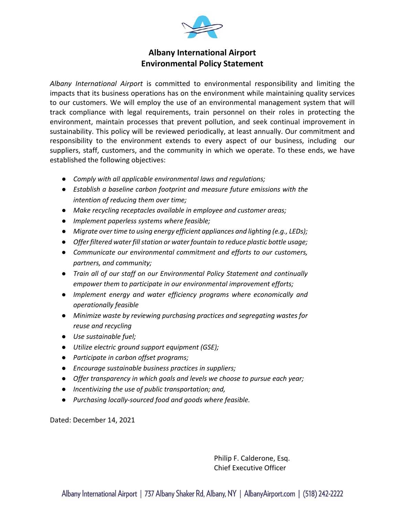

## **Albany International Airport Environmental Policy Statement**

*Albany International Airport* is committed to environmental responsibility and limiting the impacts that its business operations has on the environment while maintaining quality services to our customers. We will employ the use of an environmental management system that will track compliance with legal requirements, train personnel on their roles in protecting the environment, maintain processes that prevent pollution, and seek continual improvement in sustainability. This policy will be reviewed periodically, at least annually. Our commitment and responsibility to the environment extends to every aspect of our business, including our suppliers, staff, customers, and the community in which we operate. To these ends, we have established the following objectives:

- *Comply with all applicable environmental laws and regulations;*
- *Establish a baseline carbon footprint and measure future emissions with the intention of reducing them over time;*
- *Make recycling receptacles available in employee and customer areas;*
- *Implement paperless systems where feasible;*
- *Migrate over time to using energy efficient appliances and lighting (e.g., LEDs);*
- *Offer filtered water fill station or water fountain to reduce plastic bottle usage;*
- *Communicate our environmental commitment and efforts to our customers, partners, and community;*
- *Train all of our staff on our Environmental Policy Statement and continually empower them to participate in our environmental improvement efforts;*
- *Implement energy and water efficiency programs where economically and operationally feasible*
- *Minimize waste by reviewing purchasing practices and segregating wastes for reuse and recycling*
- *Use sustainable fuel;*
- *Utilize electric ground support equipment (GSE);*
- *Participate in carbon offset programs;*
- *Encourage sustainable business practices in suppliers;*
- *Offer transparency in which goals and levels we choose to pursue each year;*
- *Incentivizing the use of public transportation; and,*
- *Purchasing locally-sourced food and goods where feasible.*

Dated: December 14, 2021

Philip F. Calderone, Esq. Chief Executive Officer